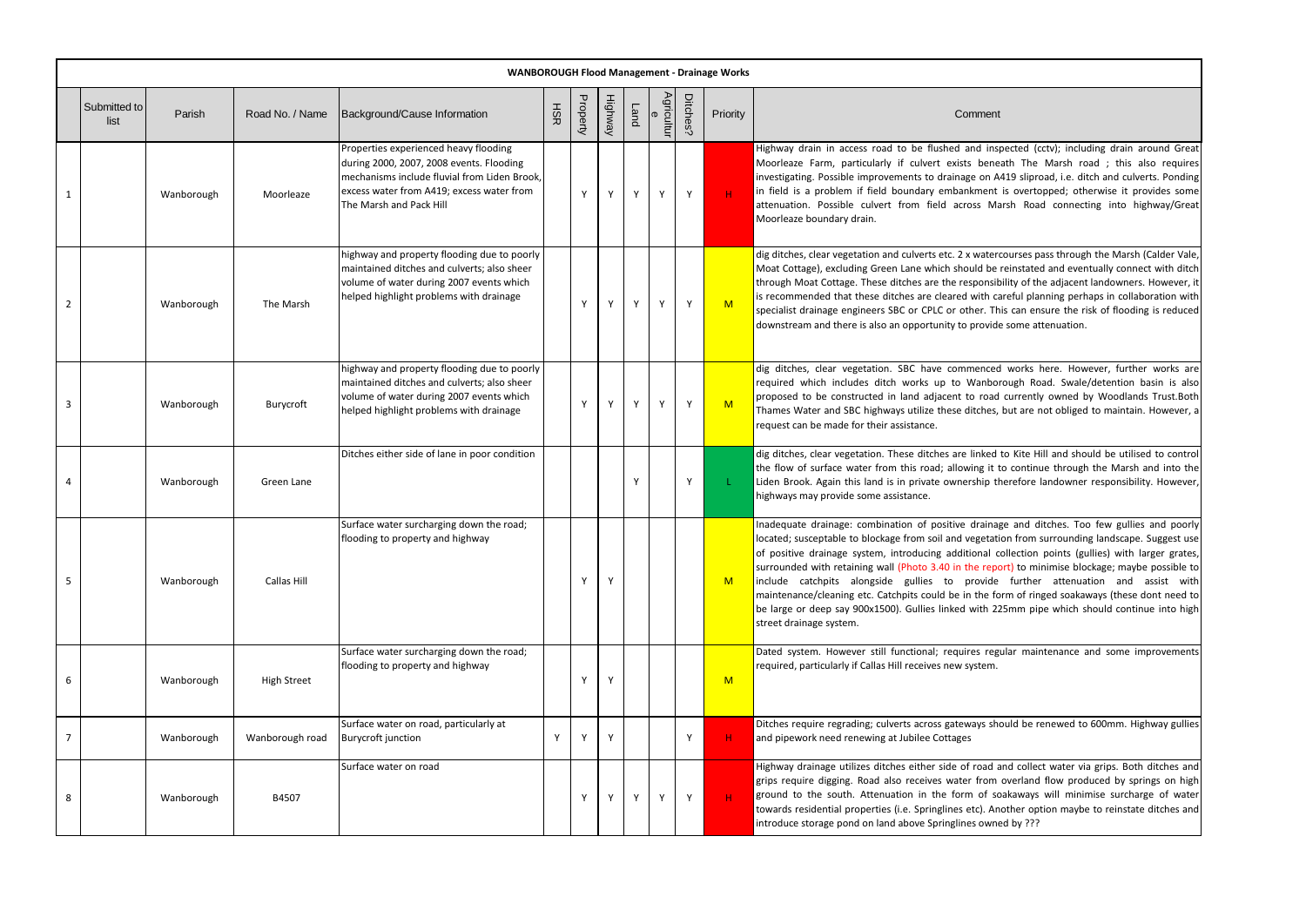|   |                      | <b>WANBOROUGH Flood Management - Drainage Works</b> |                    |                                                                                                                                                                                                           |     |          |         |      |                        |          |          |                                                                                                                                                                                                                                                                                                                                                                                                                                    |
|---|----------------------|-----------------------------------------------------|--------------------|-----------------------------------------------------------------------------------------------------------------------------------------------------------------------------------------------------------|-----|----------|---------|------|------------------------|----------|----------|------------------------------------------------------------------------------------------------------------------------------------------------------------------------------------------------------------------------------------------------------------------------------------------------------------------------------------------------------------------------------------------------------------------------------------|
|   | Submitted to<br>list | Parish                                              | Road No. / Name    | Background/Cause Information                                                                                                                                                                              | HSR | Property | Highway | Land | Agricultur<br>$\sigma$ | Ditches? | Priority | Comment                                                                                                                                                                                                                                                                                                                                                                                                                            |
| 1 |                      | Wanborough                                          | Moorleaze          | Properties experienced heavy flooding<br>during 2000, 2007, 2008 events. Flooding<br>mechanisms include fluvial from Liden Brook,<br>excess water from A419; excess water from<br>The Marsh and Pack Hill |     | Y        | Y       | Υ    | Y                      | Y        | H        | Highway drain in access road to be flushed and ins<br>Moorleaze Farm, particularly if culvert exists bene<br>investigating. Possible improvements to drainage on A<br>in field is a problem if field boundary embankment<br>attenuation. Possible culvert from field across Ma<br>Moorleaze boundary drain.                                                                                                                        |
| 2 |                      | Wanborough                                          | The Marsh          | highway and property flooding due to poorly<br>maintained ditches and culverts; also sheer<br>volume of water during 2007 events which<br>helped highlight problems with drainage                         |     | Y        | Y       | Y    | Y                      | Y        | M        | dig ditches, clear vegetation and culverts etc. 2 x water<br>Moat Cottage), excluding Green Lane which should be<br>through Moat Cottage. These ditches are the responsil<br>is recommended that these ditches are cleared with ca<br>specialist drainage engineers SBC or CPLC or other. Th<br>downstream and there is also an opportunity to provide                                                                             |
| 3 |                      | Wanborough                                          | Burycroft          | highway and property flooding due to poorly<br>maintained ditches and culverts; also sheer<br>volume of water during 2007 events which<br>helped highlight problems with drainage                         |     | Y        | Y       | Y    | Y                      | Y        | M        | dig ditches, clear vegetation. SBC have commenced<br>required which includes ditch works up to Wanbo<br>proposed to be constructed in land adjacent to road<br>Thames Water and SBC highways utilize these ditches,<br>request can be made for their assistance.                                                                                                                                                                   |
|   |                      | Wanborough                                          | Green Lane         | Ditches either side of lane in poor condition                                                                                                                                                             |     |          |         |      |                        | Y        |          | dig ditches, clear vegetation. These ditches are linked<br>the flow of surface water from this road; allowing it t<br>Liden Brook. Again this land is in private ownership tl<br>highways may provide some assistance.                                                                                                                                                                                                             |
| 5 |                      | Wanborough                                          | Callas Hill        | Surface water surcharging down the road;<br>flooding to property and highway                                                                                                                              |     | Y        | Y       |      |                        |          | M        | Inadequate drainage: combination of positive draina<br>located; susceptable to blockage from soil and vegetati<br>of positive drainage system, introducing additional c<br>surrounded with retaining wall (Photo 3.40 in the repo<br>include catchpits alongside gullies to provide<br>maintenance/cleaning etc. Catchpits could be in the fo<br>be large or deep say 900x1500). Gullies linked with 2.<br>street drainage system. |
| 6 |                      | Wanborough                                          | <b>High Street</b> | Surface water surcharging down the road;<br>flooding to property and highway                                                                                                                              |     | Y        | Y       |      |                        |          | M        | Dated system. However still functional; requires reg<br>required, particularly if Callas Hill receives new system.                                                                                                                                                                                                                                                                                                                 |
| 7 |                      | Wanborough                                          | Wanborough road    | Surface water on road, particularly at<br>Burycroft junction                                                                                                                                              | Y   | Y        | Y       |      |                        | Υ        | н.       | Ditches require regrading; culverts across gateways sh<br>and pipework need renewing at Jubilee Cottages                                                                                                                                                                                                                                                                                                                           |
| 8 |                      | Wanborough                                          | B4507              | Surface water on road                                                                                                                                                                                     |     | Y        | Y       | Y    | Y                      | Y        | $H$ .    | Highway drainage utilizes ditches either side of road a<br>grips require digging. Road also receives water from<br>ground to the south. Attenuation in the form of so<br>towards residential properties (i.e. Springlines etc). An<br>introduce storage pond on land above Springlines own                                                                                                                                         |

inspected (cctv); including drain around Great Moorleath The Marsh road ; this also requires on A419 sliproad, i.e. ditch and culverts. Ponding ient is overtopped; otherwise it provides some Marsh Road connecting into highway/Great

atercourses pass through the Marsh (Calder Vale, I be reinstated and eventually connect with ditch onsibility of the adjacent landowners. However, it th careful planning perhaps in collaboration with r. This can ensure the risk of flooding is reduced ovide some attenuation.

nced works here. However, further works are nborough Road. Swale/detention basin is also road currently owned by Woodlands Trust.Both hes, but are not obliged to maintain. However, a

ked to Kite Hill and should be utilised to control the flow continue through the Marsh and into the ip therefore landowner responsibility. However,

ainage and ditches. Too few gullies and poorly etation from surrounding landscape. Suggest use al collection points (gullies) with larger grates, report) to minimise blockage; maybe possible to vide further attenuation and assist with ne form of ringed soakaways (these dont need to th 225mm pipe which should continue into high

regular maintenance and some improvements

rs should be renewed to 600mm. Highway gullies

had and collect water via grips. Both ditches and rom overland flow produced by springs on high of soakaways will minimise surcharge of water . Another option maybe to reinstate ditches and inted by ???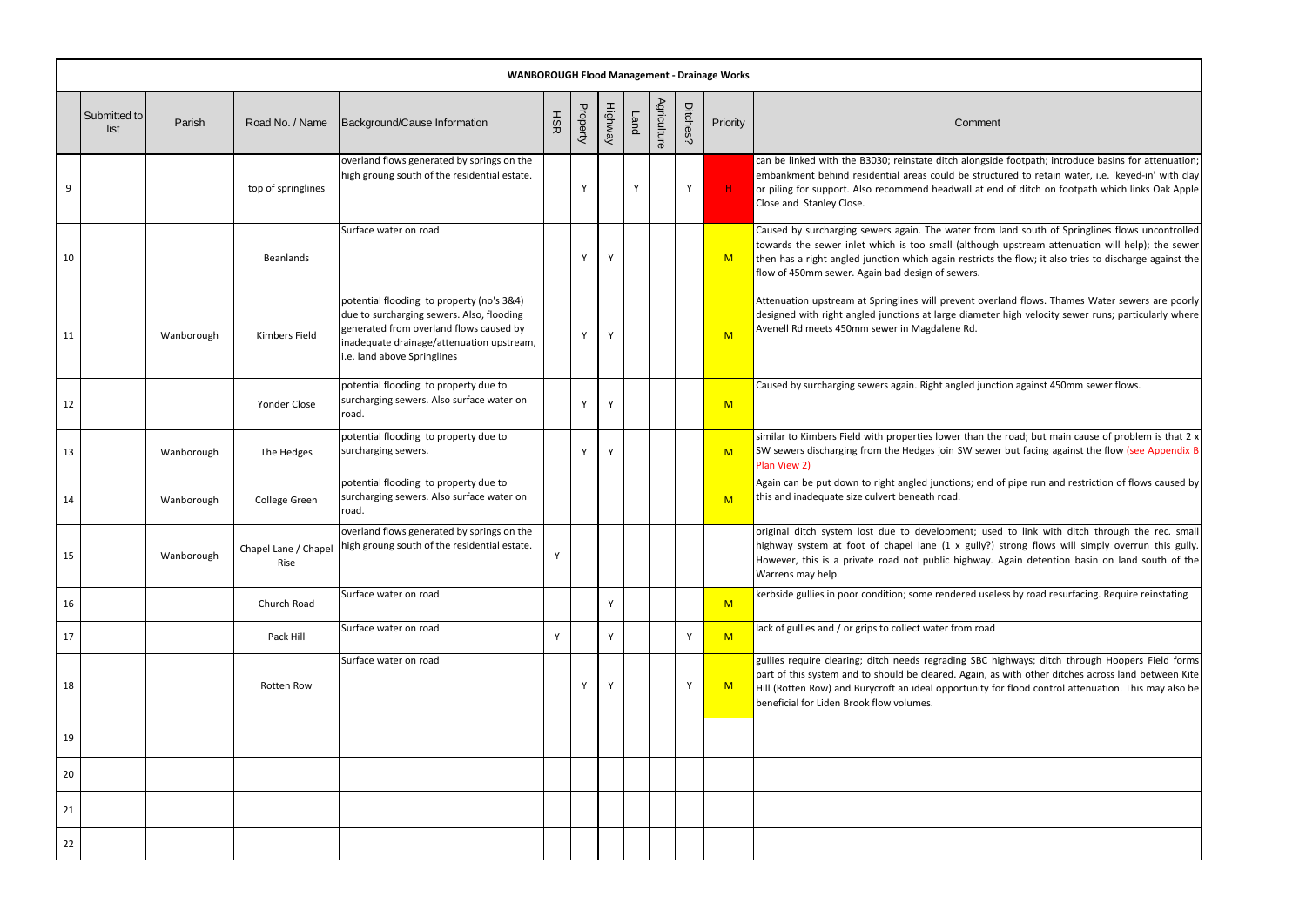|    |                      | <b>WANBOROUGH Flood Management - Drainage Works</b> |                    |                                                                                                                                                                                                              |     |          |         |      |             |          |          |                                                                                                                                                                                                                            |
|----|----------------------|-----------------------------------------------------|--------------------|--------------------------------------------------------------------------------------------------------------------------------------------------------------------------------------------------------------|-----|----------|---------|------|-------------|----------|----------|----------------------------------------------------------------------------------------------------------------------------------------------------------------------------------------------------------------------------|
|    | Submitted to<br>list | Parish                                              | Road No. / Name    | Background/Cause Information                                                                                                                                                                                 | HSR | Property | Highway | Land | Agriculture | Ditches? | Priority | Comment                                                                                                                                                                                                                    |
| 9  |                      |                                                     | top of springlines | overland flows generated by springs on the<br>high groung south of the residential estate.                                                                                                                   |     | Υ        |         | Y    |             | Υ        | H        | can be linked with the B3030; reinstate ditch alongsid<br>embankment behind residential areas could be struct<br>or piling for support. Also recommend headwall at en<br>Close and Stanley Close.                          |
| 10 |                      |                                                     | <b>Beanlands</b>   | Surface water on road                                                                                                                                                                                        |     | Y        | Y       |      |             |          | M        | Caused by surcharging sewers again. The water from<br>towards the sewer inlet which is too small (although<br>then has a right angled junction which again restricts t<br>flow of 450mm sewer. Again bad design of sewers. |
| 11 |                      | Wanborough                                          | Kimbers Field      | potential flooding to property (no's 3&4)<br>due to surcharging sewers. Also, flooding<br>generated from overland flows caused by<br>inadequate drainage/attenuation upstream,<br>.e. land above Springlines |     | Y        | Y       |      |             |          | M        | Attenuation upstream at Springlines will prevent over<br>designed with right angled junctions at large diameter<br>Avenell Rd meets 450mm sewer in Magdalene Rd.                                                           |
| 12 |                      |                                                     | Yonder Close       | potential flooding to property due to<br>surcharging sewers. Also surface water on<br>road.                                                                                                                  |     | Y        | Y       |      |             |          | M        | Caused by surcharging sewers again. Right angled junct                                                                                                                                                                     |
| 13 |                      | Wanborough                                          | The Hedges         | potential flooding to property due to<br>surcharging sewers.                                                                                                                                                 |     | Y        | Y       |      |             |          | M        | similar to Kimbers Field with properties lower than the<br>SW sewers discharging from the Hedges join SW sewer<br>Plan View 2)                                                                                             |
| 14 |                      | Wanborough                                          | College Green      | potential flooding to property due to<br>surcharging sewers. Also surface water on<br>road.                                                                                                                  |     |          |         |      |             |          | M        | Again can be put down to right angled junctions; end o<br>this and inadequate size culvert beneath road.                                                                                                                   |
| 15 |                      | Wanborough                                          | Rise               | overland flows generated by springs on the<br>Chapel Lane / Chapel   high groung south of the residential estate.                                                                                            | Y   |          |         |      |             |          |          | original ditch system lost due to development; used<br>highway system at foot of chapel lane (1 x gully?)<br>However, this is a private road not public highway.<br>Warrens may help.                                      |
| 16 |                      |                                                     | Church Road        | Surface water on road                                                                                                                                                                                        |     |          | Y       |      |             |          | M        | kerbside gullies in poor condition; some rendered usele                                                                                                                                                                    |
| 17 |                      |                                                     | Pack Hill          | Surface water on road                                                                                                                                                                                        | Y   |          | Y       |      |             | Y        | M        | lack of gullies and / or grips to collect water from road                                                                                                                                                                  |
| 18 |                      |                                                     | Rotten Row         | Surface water on road                                                                                                                                                                                        |     | Y        | Y       |      |             | Υ        | M        | gullies require clearing; ditch needs regrading SBC hi<br>part of this system and to should be cleared. Again, as<br>Hill (Rotten Row) and Burycroft an ideal opportunity fo<br>beneficial for Liden Brook flow volumes.   |
| 19 |                      |                                                     |                    |                                                                                                                                                                                                              |     |          |         |      |             |          |          |                                                                                                                                                                                                                            |
| 20 |                      |                                                     |                    |                                                                                                                                                                                                              |     |          |         |      |             |          |          |                                                                                                                                                                                                                            |
| 21 |                      |                                                     |                    |                                                                                                                                                                                                              |     |          |         |      |             |          |          |                                                                                                                                                                                                                            |
| 22 |                      |                                                     |                    |                                                                                                                                                                                                              |     |          |         |      |             |          |          |                                                                                                                                                                                                                            |

gside footpath; introduce basins for attenuation; ructured to retain water, i.e. 'keyed-in' with clay or end of ditch on footpath which links Oak Apple

om land south of Springlines flows uncontrolled ugh upstream attenuation will help); the sewer icts the flow; it also tries to discharge against the

bverland flows. Thames Water sewers are poorly eter high velocity sewer runs; particularly where

unction against 450mm sewer flows.

the road; but main cause of problem is that 2 x ewer but facing against the flow (see Appendix B

and of pipe run and restriction of flows caused by

used to link with ditch through the rec. small y?) strong flows will simply overrun this gully. ay. Again detention basin on land south of the

useless by road resurfacing. Require reinstating

C highways; ditch through Hoopers Field forms as with other ditches across land between Kite ty for flood control attenuation. This may also be